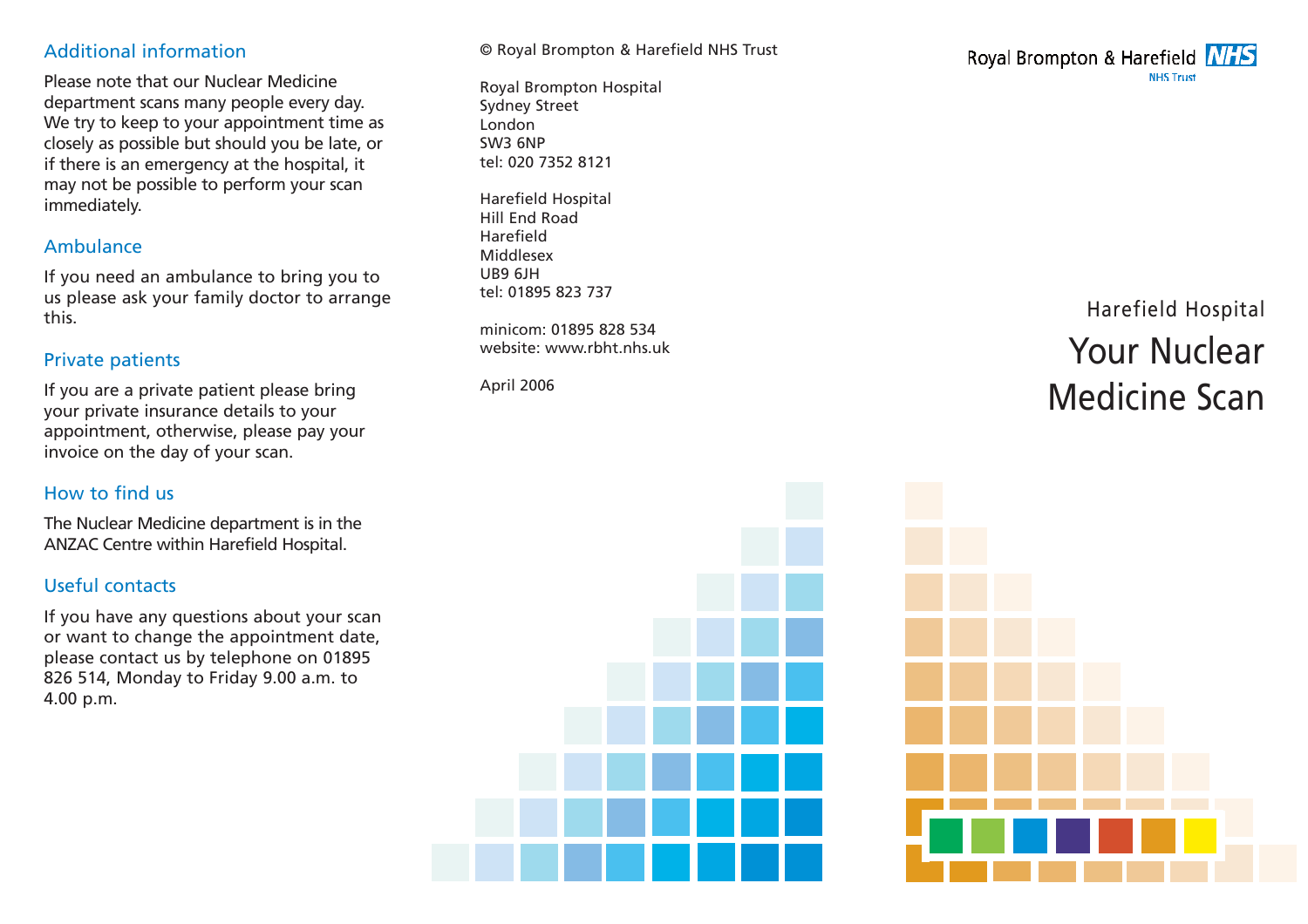# Additional information

Please note that our Nuclear Medicine department scans many people every day. We try to keep to your appointment time as closely as possible but should you be late, or if there is an emergency at the hospital, it may not be possible to perform your scan immediately.

## Ambulance

If you need an ambulance to bring you to us please ask your family doctor to arrange this.

# Private patients

If you are a private patient please bring your private insurance details to your appointment, otherwise, please pay your invoice on the day of your scan.

# How to find us

The Nuclear Medicine department is in the ANZAC Centre within Harefield Hospital.

# Useful contacts

If you have any questions about your scan or want to change the appointment date, please contact us by telephone on 01895 826 514, Monday to Friday 9.00 a.m. to 4.00 p.m.

© Royal Brompton & Harefield NHS Trust

Royal Brompton Hospital Sydney Street London SW3 6NP tel: 020 7352 8121

Harefield Hospital Hill End Road Harefield Middlesex UB9 6JH tel: 01895 823 737

minicom: 01895 828 534 website: www.rbht.nhs.uk

April 2006



# Harefield Hospital Your Nuclear Medicine Scan